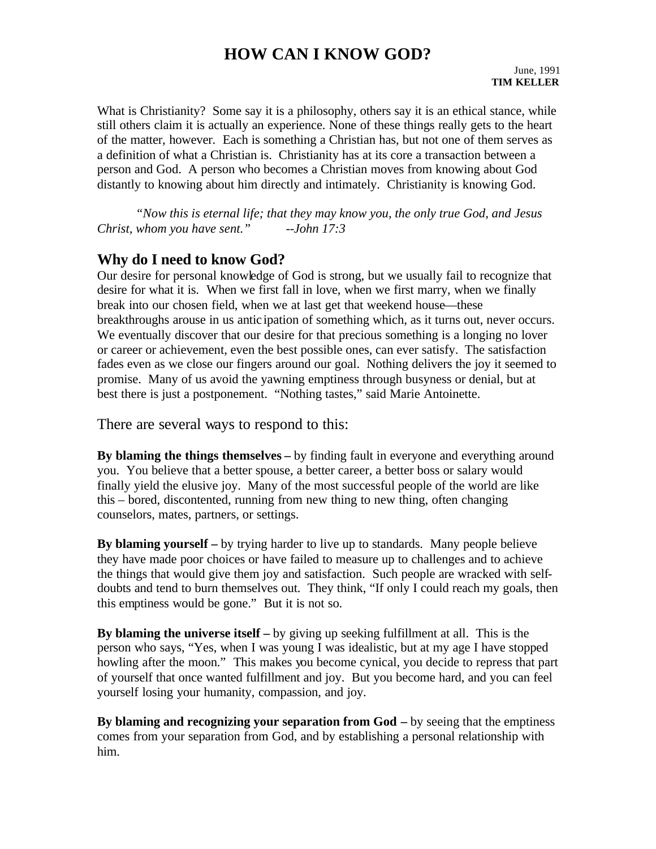## **HOW CAN I KNOW GOD?**

What is Christianity? Some say it is a philosophy, others say it is an ethical stance, while still others claim it is actually an experience. None of these things really gets to the heart of the matter, however. Each is something a Christian has, but not one of them serves as a definition of what a Christian is. Christianity has at its core a transaction between a person and God. A person who becomes a Christian moves from knowing about God distantly to knowing about him directly and intimately. Christianity is knowing God.

*"Now this is eternal life; that they may know you, the only true God, and Jesus Christ, whom you have sent." --John 17:3*

#### **Why do I need to know God?**

Our desire for personal knowledge of God is strong, but we usually fail to recognize that desire for what it is. When we first fall in love, when we first marry, when we finally break into our chosen field, when we at last get that weekend house—these breakthroughs arouse in us antic ipation of something which, as it turns out, never occurs. We eventually discover that our desire for that precious something is a longing no lover or career or achievement, even the best possible ones, can ever satisfy. The satisfaction fades even as we close our fingers around our goal. Nothing delivers the joy it seemed to promise. Many of us avoid the yawning emptiness through busyness or denial, but at best there is just a postponement. "Nothing tastes," said Marie Antoinette.

There are several ways to respond to this:

**By blaming the things themselves –** by finding fault in everyone and everything around you. You believe that a better spouse, a better career, a better boss or salary would finally yield the elusive joy. Many of the most successful people of the world are like this – bored, discontented, running from new thing to new thing, often changing counselors, mates, partners, or settings.

**By blaming yourself –** by trying harder to live up to standards. Many people believe they have made poor choices or have failed to measure up to challenges and to achieve the things that would give them joy and satisfaction. Such people are wracked with selfdoubts and tend to burn themselves out. They think, "If only I could reach my goals, then this emptiness would be gone." But it is not so.

**By blaming the universe itself –** by giving up seeking fulfillment at all. This is the person who says, "Yes, when I was young I was idealistic, but at my age I have stopped howling after the moon." This makes you become cynical, you decide to repress that part of yourself that once wanted fulfillment and joy. But you become hard, and you can feel yourself losing your humanity, compassion, and joy.

**By blaming and recognizing your separation from God –** by seeing that the emptiness comes from your separation from God, and by establishing a personal relationship with him.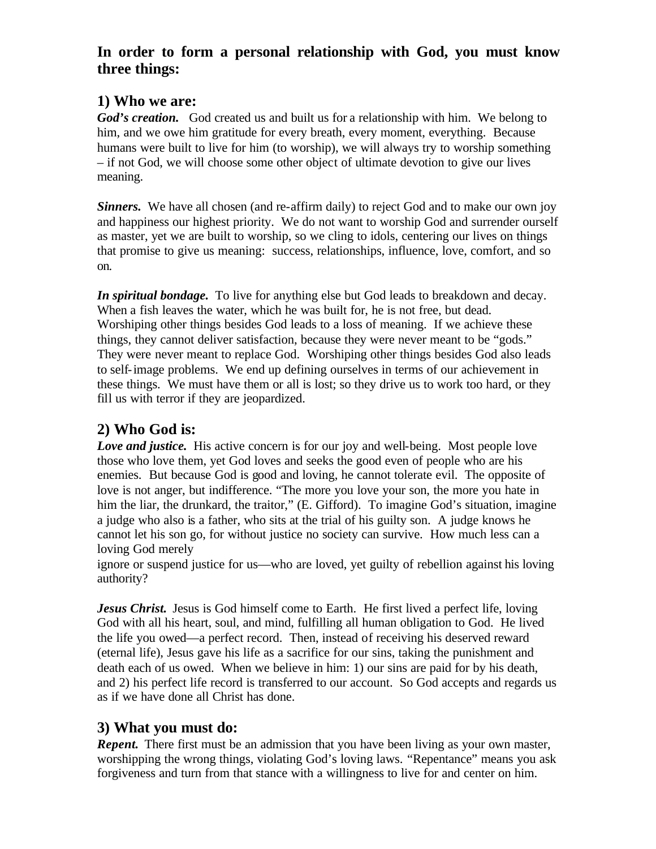### **In order to form a personal relationship with God, you must know three things:**

## **1) Who we are:**

God's creation. God created us and built us for a relationship with him. We belong to him, and we owe him gratitude for every breath, every moment, everything. Because humans were built to live for him (to worship), we will always try to worship something – if not God, we will choose some other object of ultimate devotion to give our lives meaning.

*Sinners.* We have all chosen (and re-affirm daily) to reject God and to make our own joy and happiness our highest priority. We do not want to worship God and surrender ourself as master, yet we are built to worship, so we cling to idols, centering our lives on things that promise to give us meaning: success, relationships, influence, love, comfort, and so on.

*In spiritual bondage.* To live for anything else but God leads to breakdown and decay. When a fish leaves the water, which he was built for, he is not free, but dead. Worshiping other things besides God leads to a loss of meaning. If we achieve these things, they cannot deliver satisfaction, because they were never meant to be "gods." They were never meant to replace God. Worshiping other things besides God also leads to self-image problems. We end up defining ourselves in terms of our achievement in these things. We must have them or all is lost; so they drive us to work too hard, or they fill us with terror if they are jeopardized.

## **2) Who God is:**

*Love and justice.* His active concern is for our joy and well-being. Most people love those who love them, yet God loves and seeks the good even of people who are his enemies. But because God is good and loving, he cannot tolerate evil. The opposite of love is not anger, but indifference. "The more you love your son, the more you hate in him the liar, the drunkard, the traitor," (E. Gifford). To imagine God's situation, imagine a judge who also is a father, who sits at the trial of his guilty son. A judge knows he cannot let his son go, for without justice no society can survive. How much less can a loving God merely

ignore or suspend justice for us—who are loved, yet guilty of rebellion against his loving authority?

*Jesus Christ.* Jesus is God himself come to Earth. He first lived a perfect life, loving God with all his heart, soul, and mind, fulfilling all human obligation to God. He lived the life you owed—a perfect record. Then, instead of receiving his deserved reward (eternal life), Jesus gave his life as a sacrifice for our sins, taking the punishment and death each of us owed. When we believe in him: 1) our sins are paid for by his death, and 2) his perfect life record is transferred to our account. So God accepts and regards us as if we have done all Christ has done.

### **3) What you must do:**

*Repent.* There first must be an admission that you have been living as your own master. worshipping the wrong things, violating God's loving laws. "Repentance" means you ask forgiveness and turn from that stance with a willingness to live for and center on him.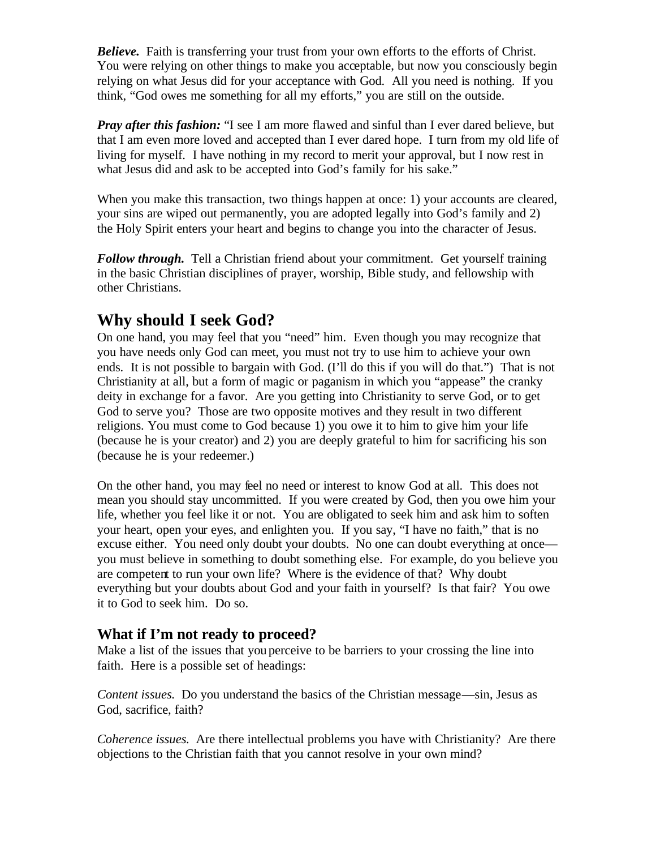**Believe.** Faith is transferring your trust from your own efforts to the efforts of Christ. You were relying on other things to make you acceptable, but now you consciously begin relying on what Jesus did for your acceptance with God. All you need is nothing. If you think, "God owes me something for all my efforts," you are still on the outside.

*Pray after this fashion:* "I see I am more flawed and sinful than I ever dared believe, but that I am even more loved and accepted than I ever dared hope. I turn from my old life of living for myself. I have nothing in my record to merit your approval, but I now rest in what Jesus did and ask to be accepted into God's family for his sake."

When you make this transaction, two things happen at once: 1) your accounts are cleared, your sins are wiped out permanently, you are adopted legally into God's family and 2) the Holy Spirit enters your heart and begins to change you into the character of Jesus.

*Follow through.* Tell a Christian friend about your commitment. Get yourself training in the basic Christian disciplines of prayer, worship, Bible study, and fellowship with other Christians.

# **Why should I seek God?**

On one hand, you may feel that you "need" him. Even though you may recognize that you have needs only God can meet, you must not try to use him to achieve your own ends. It is not possible to bargain with God. (I'll do this if you will do that.") That is not Christianity at all, but a form of magic or paganism in which you "appease" the cranky deity in exchange for a favor. Are you getting into Christianity to serve God, or to get God to serve you? Those are two opposite motives and they result in two different religions. You must come to God because 1) you owe it to him to give him your life (because he is your creator) and 2) you are deeply grateful to him for sacrificing his son (because he is your redeemer.)

On the other hand, you may feel no need or interest to know God at all. This does not mean you should stay uncommitted. If you were created by God, then you owe him your life, whether you feel like it or not. You are obligated to seek him and ask him to soften your heart, open your eyes, and enlighten you. If you say, "I have no faith," that is no excuse either. You need only doubt your doubts. No one can doubt everything at once you must believe in something to doubt something else. For example, do you believe you are competent to run your own life? Where is the evidence of that? Why doubt everything but your doubts about God and your faith in yourself? Is that fair? You owe it to God to seek him. Do so.

#### **What if I'm not ready to proceed?**

Make a list of the issues that you perceive to be barriers to your crossing the line into faith. Here is a possible set of headings:

*Content issues.* Do you understand the basics of the Christian message—sin, Jesus as God, sacrifice, faith?

*Coherence issues.* Are there intellectual problems you have with Christianity? Are there objections to the Christian faith that you cannot resolve in your own mind?